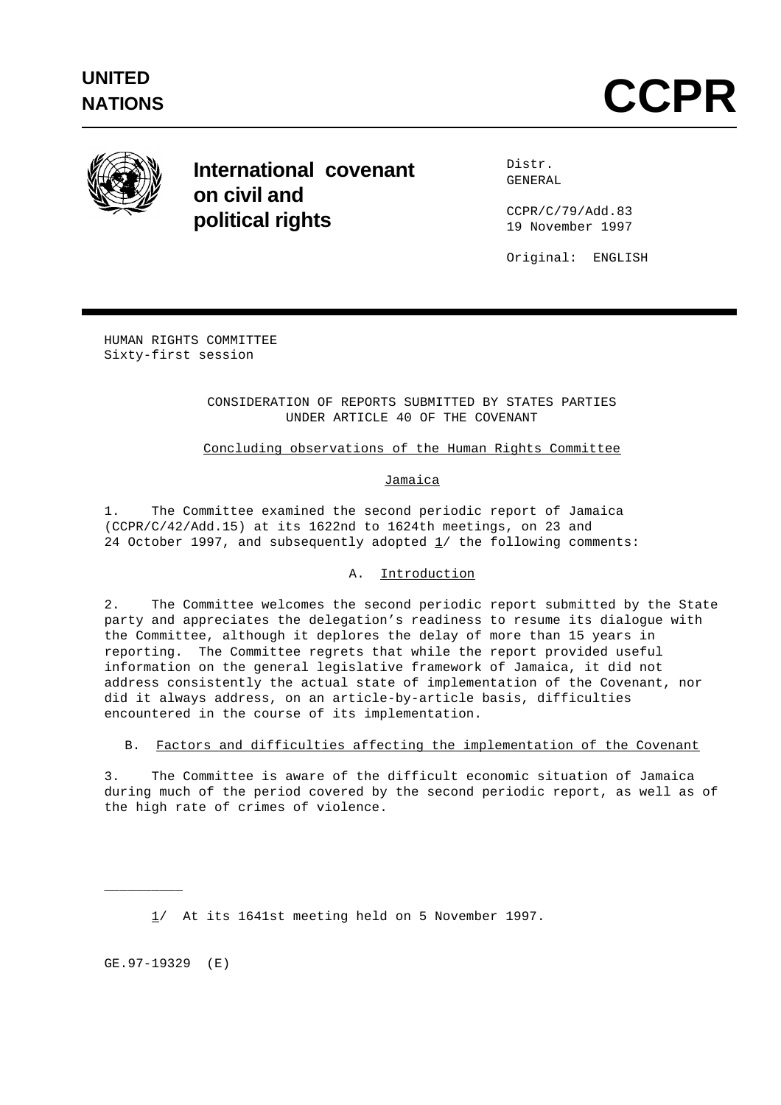

# **International covenant on civil and political rights**

Distr. GENERAL

CCPR/C/79/Add.83 19 November 1997

Original: ENGLISH

HUMAN RIGHTS COMMITTEE Sixty-first session

## CONSIDERATION OF REPORTS SUBMITTED BY STATES PARTIES UNDER ARTICLE 40 OF THE COVENANT

# Concluding observations of the Human Rights Committee

### Jamaica

1. The Committee examined the second periodic report of Jamaica (CCPR/C/42/Add.15) at its 1622nd to 1624th meetings, on 23 and 24 October 1997, and subsequently adopted  $1/$  the following comments:

# A. Introduction

2. The Committee welcomes the second periodic report submitted by the State party and appreciates the delegation's readiness to resume its dialogue with the Committee, although it deplores the delay of more than 15 years in reporting. The Committee regrets that while the report provided useful information on the general legislative framework of Jamaica, it did not address consistently the actual state of implementation of the Covenant, nor did it always address, on an article-by-article basis, difficulties encountered in the course of its implementation.

B. Factors and difficulties affecting the implementation of the Covenant

3. The Committee is aware of the difficult economic situation of Jamaica during much of the period covered by the second periodic report, as well as of the high rate of crimes of violence.

1/ At its 1641st meeting held on 5 November 1997.

GE.97-19329 (E)

\_\_\_\_\_\_\_\_\_\_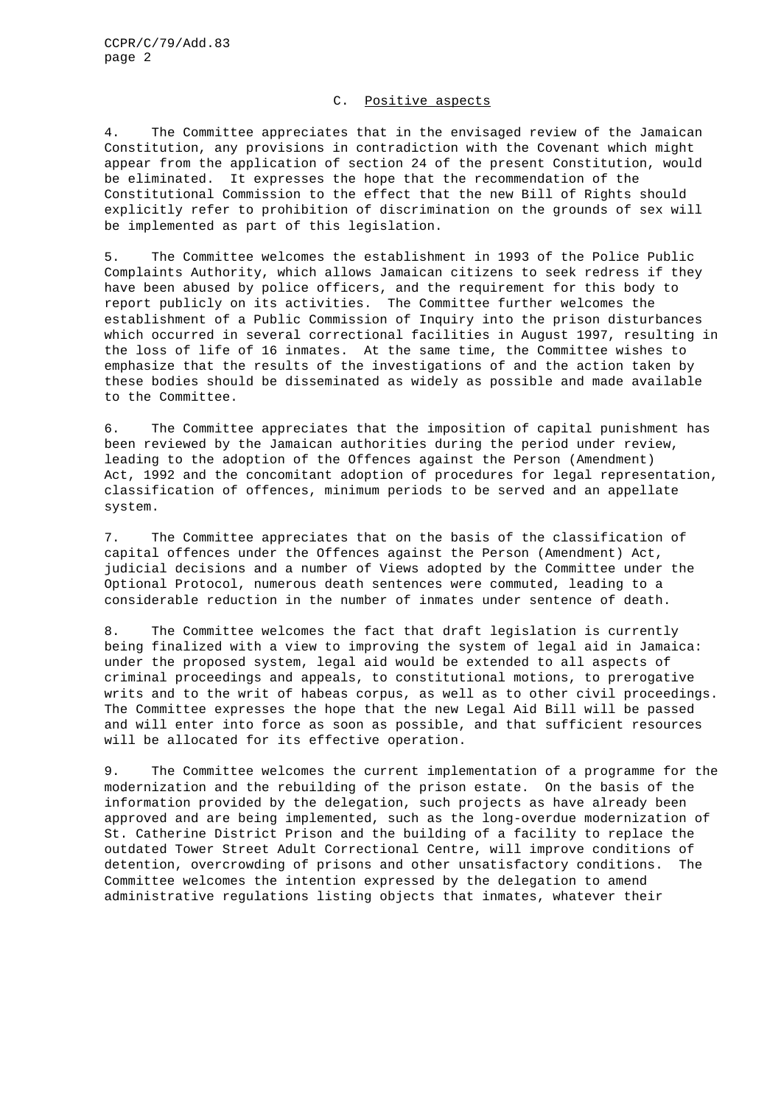#### C. Positive aspects

4. The Committee appreciates that in the envisaged review of the Jamaican Constitution, any provisions in contradiction with the Covenant which might appear from the application of section 24 of the present Constitution, would be eliminated. It expresses the hope that the recommendation of the Constitutional Commission to the effect that the new Bill of Rights should explicitly refer to prohibition of discrimination on the grounds of sex will be implemented as part of this legislation.

5. The Committee welcomes the establishment in 1993 of the Police Public Complaints Authority, which allows Jamaican citizens to seek redress if they have been abused by police officers, and the requirement for this body to report publicly on its activities. The Committee further welcomes the establishment of a Public Commission of Inquiry into the prison disturbances which occurred in several correctional facilities in August 1997, resulting in the loss of life of 16 inmates. At the same time, the Committee wishes to emphasize that the results of the investigations of and the action taken by these bodies should be disseminated as widely as possible and made available to the Committee.

6. The Committee appreciates that the imposition of capital punishment has been reviewed by the Jamaican authorities during the period under review, leading to the adoption of the Offences against the Person (Amendment) Act, 1992 and the concomitant adoption of procedures for legal representation, classification of offences, minimum periods to be served and an appellate system.

7. The Committee appreciates that on the basis of the classification of capital offences under the Offences against the Person (Amendment) Act, judicial decisions and a number of Views adopted by the Committee under the Optional Protocol, numerous death sentences were commuted, leading to a considerable reduction in the number of inmates under sentence of death.

8. The Committee welcomes the fact that draft legislation is currently being finalized with a view to improving the system of legal aid in Jamaica: under the proposed system, legal aid would be extended to all aspects of criminal proceedings and appeals, to constitutional motions, to prerogative writs and to the writ of habeas corpus, as well as to other civil proceedings. The Committee expresses the hope that the new Legal Aid Bill will be passed and will enter into force as soon as possible, and that sufficient resources will be allocated for its effective operation.

9. The Committee welcomes the current implementation of a programme for the modernization and the rebuilding of the prison estate. On the basis of the information provided by the delegation, such projects as have already been approved and are being implemented, such as the long-overdue modernization of St. Catherine District Prison and the building of a facility to replace the outdated Tower Street Adult Correctional Centre, will improve conditions of detention, overcrowding of prisons and other unsatisfactory conditions. The Committee welcomes the intention expressed by the delegation to amend administrative regulations listing objects that inmates, whatever their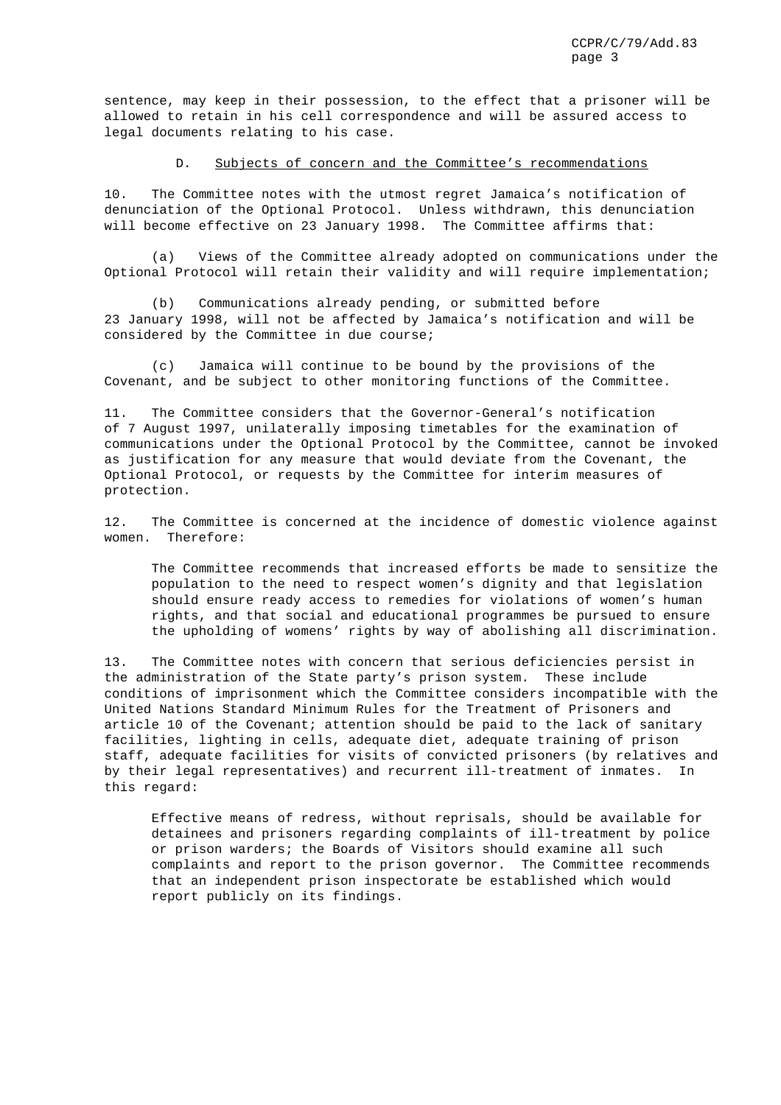sentence, may keep in their possession, to the effect that a prisoner will be allowed to retain in his cell correspondence and will be assured access to legal documents relating to his case.

#### D. Subjects of concern and the Committee's recommendations

10. The Committee notes with the utmost regret Jamaica's notification of denunciation of the Optional Protocol. Unless withdrawn, this denunciation will become effective on 23 January 1998. The Committee affirms that:

(a) Views of the Committee already adopted on communications under the Optional Protocol will retain their validity and will require implementation;

(b) Communications already pending, or submitted before 23 January 1998, will not be affected by Jamaica's notification and will be considered by the Committee in due course;

(c) Jamaica will continue to be bound by the provisions of the Covenant, and be subject to other monitoring functions of the Committee.

11. The Committee considers that the Governor-General's notification of 7 August 1997, unilaterally imposing timetables for the examination of communications under the Optional Protocol by the Committee, cannot be invoked as justification for any measure that would deviate from the Covenant, the Optional Protocol, or requests by the Committee for interim measures of protection.

12. The Committee is concerned at the incidence of domestic violence against women. Therefore:

The Committee recommends that increased efforts be made to sensitize the population to the need to respect women's dignity and that legislation should ensure ready access to remedies for violations of women's human rights, and that social and educational programmes be pursued to ensure the upholding of womens' rights by way of abolishing all discrimination.

13. The Committee notes with concern that serious deficiencies persist in the administration of the State party's prison system. These include conditions of imprisonment which the Committee considers incompatible with the United Nations Standard Minimum Rules for the Treatment of Prisoners and article 10 of the Covenant; attention should be paid to the lack of sanitary facilities, lighting in cells, adequate diet, adequate training of prison staff, adequate facilities for visits of convicted prisoners (by relatives and by their legal representatives) and recurrent ill-treatment of inmates. In this regard:

Effective means of redress, without reprisals, should be available for detainees and prisoners regarding complaints of ill-treatment by police or prison warders; the Boards of Visitors should examine all such complaints and report to the prison governor. The Committee recommends that an independent prison inspectorate be established which would report publicly on its findings.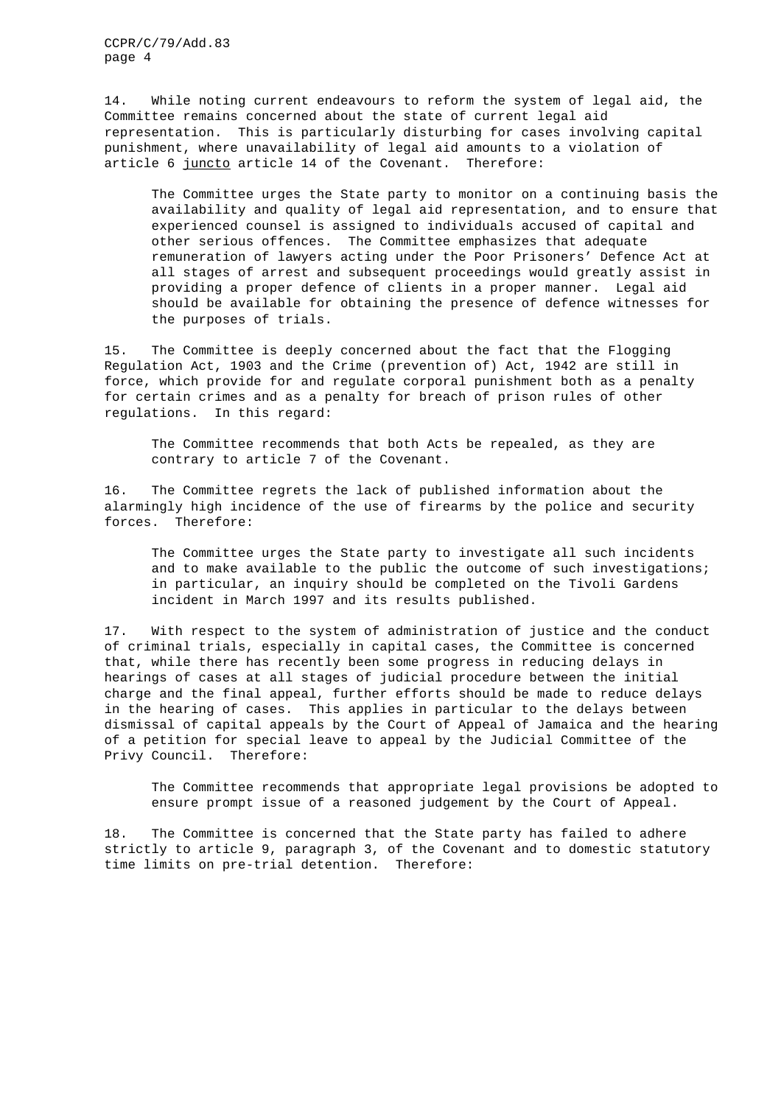CCPR/C/79/Add.83 page 4

14. While noting current endeavours to reform the system of legal aid, the Committee remains concerned about the state of current legal aid representation. This is particularly disturbing for cases involving capital punishment, where unavailability of legal aid amounts to a violation of article 6 juncto article 14 of the Covenant. Therefore:

The Committee urges the State party to monitor on a continuing basis the availability and quality of legal aid representation, and to ensure that experienced counsel is assigned to individuals accused of capital and other serious offences. The Committee emphasizes that adequate remuneration of lawyers acting under the Poor Prisoners' Defence Act at all stages of arrest and subsequent proceedings would greatly assist in providing a proper defence of clients in a proper manner. Legal aid should be available for obtaining the presence of defence witnesses for the purposes of trials.

15. The Committee is deeply concerned about the fact that the Flogging Regulation Act, 1903 and the Crime (prevention of) Act, 1942 are still in force, which provide for and regulate corporal punishment both as a penalty for certain crimes and as a penalty for breach of prison rules of other regulations. In this regard:

The Committee recommends that both Acts be repealed, as they are contrary to article 7 of the Covenant.

16. The Committee regrets the lack of published information about the alarmingly high incidence of the use of firearms by the police and security forces. Therefore:

The Committee urges the State party to investigate all such incidents and to make available to the public the outcome of such investigations; in particular, an inquiry should be completed on the Tivoli Gardens incident in March 1997 and its results published.

17. With respect to the system of administration of justice and the conduct of criminal trials, especially in capital cases, the Committee is concerned that, while there has recently been some progress in reducing delays in hearings of cases at all stages of judicial procedure between the initial charge and the final appeal, further efforts should be made to reduce delays in the hearing of cases. This applies in particular to the delays between dismissal of capital appeals by the Court of Appeal of Jamaica and the hearing of a petition for special leave to appeal by the Judicial Committee of the Privy Council. Therefore:

The Committee recommends that appropriate legal provisions be adopted to ensure prompt issue of a reasoned judgement by the Court of Appeal.

18. The Committee is concerned that the State party has failed to adhere strictly to article 9, paragraph 3, of the Covenant and to domestic statutory time limits on pre-trial detention. Therefore: